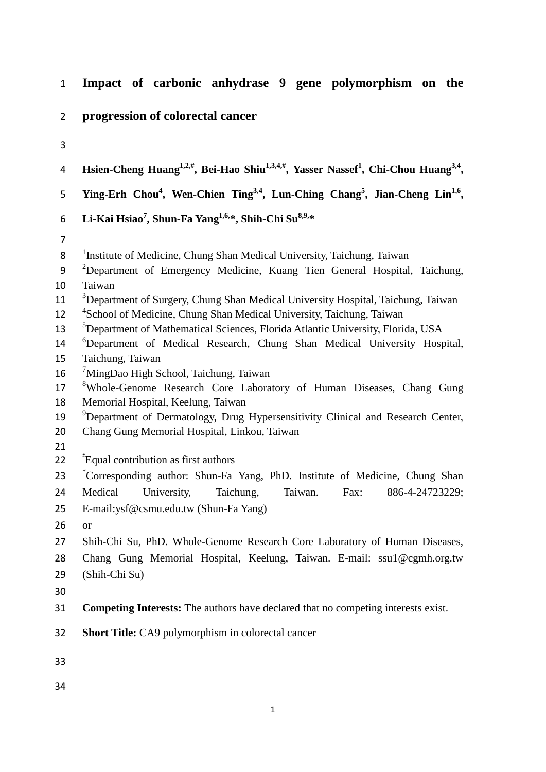| $\mathbf{1}$   | Impact of carbonic anhydrase 9 gene polymorphism on the                                                                             |
|----------------|-------------------------------------------------------------------------------------------------------------------------------------|
| $\overline{2}$ | progression of colorectal cancer                                                                                                    |
| 3              |                                                                                                                                     |
| 4              | Hsien-Cheng Huang <sup>1,2,#</sup> , Bei-Hao Shiu <sup>1,3,4,#</sup> , Yasser Nassef <sup>1</sup> , Chi-Chou Huang <sup>3,4</sup> , |
| 5              | Ying-Erh Chou <sup>4</sup> , Wen-Chien Ting <sup>3,4</sup> , Lun-Ching Chang <sup>5</sup> , Jian-Cheng Lin <sup>1,6</sup> ,         |
| 6              | Li-Kai Hsiao <sup>7</sup> , Shun-Fa Yang <sup>1,6,*</sup> , Shih-Chi Su <sup>8,9,*</sup>                                            |
| $\overline{7}$ |                                                                                                                                     |
| 8              | <sup>1</sup> Institute of Medicine, Chung Shan Medical University, Taichung, Taiwan                                                 |
| 9              | <sup>2</sup> Department of Emergency Medicine, Kuang Tien General Hospital, Taichung,                                               |
| 10             | Taiwan                                                                                                                              |
| 11             | <sup>3</sup> Department of Surgery, Chung Shan Medical University Hospital, Taichung, Taiwan                                        |
| 12             | <sup>4</sup> School of Medicine, Chung Shan Medical University, Taichung, Taiwan                                                    |
| 13             | <sup>5</sup> Department of Mathematical Sciences, Florida Atlantic University, Florida, USA                                         |
| 14             | <sup>6</sup> Department of Medical Research, Chung Shan Medical University Hospital,                                                |
| 15             | Taichung, Taiwan                                                                                                                    |
| 16             | <sup>7</sup> MingDao High School, Taichung, Taiwan                                                                                  |
| 17             | <sup>8</sup> Whole-Genome Research Core Laboratory of Human Diseases, Chang Gung                                                    |
| 18             | Memorial Hospital, Keelung, Taiwan                                                                                                  |
| 19             | <sup>9</sup> Department of Dermatology, Drug Hypersensitivity Clinical and Research Center,                                         |
| 20             | Chang Gung Memorial Hospital, Linkou, Taiwan                                                                                        |
| 21<br>22       | "Equal contribution as first authors"                                                                                               |
| 23             | *Corresponding author: Shun-Fa Yang, PhD. Institute of Medicine, Chung Shan                                                         |
| 24             | University,<br>Medical<br>Taichung,<br>886-4-24723229;<br>Taiwan.<br>Fax:                                                           |
|                |                                                                                                                                     |
| 25             | E-mail:ysf@csmu.edu.tw (Shun-Fa Yang)                                                                                               |
| 26             | <b>or</b>                                                                                                                           |
| 27             | Shih-Chi Su, PhD. Whole-Genome Research Core Laboratory of Human Diseases,                                                          |
| 28             | Chang Gung Memorial Hospital, Keelung, Taiwan. E-mail: ssu1@cgmh.org.tw                                                             |
| 29             | (Shih-Chi Su)                                                                                                                       |
| 30             |                                                                                                                                     |
| 31             | <b>Competing Interests:</b> The authors have declared that no competing interests exist.                                            |
| 32             | <b>Short Title:</b> CA9 polymorphism in colorectal cancer                                                                           |
| 33             |                                                                                                                                     |
| 34             |                                                                                                                                     |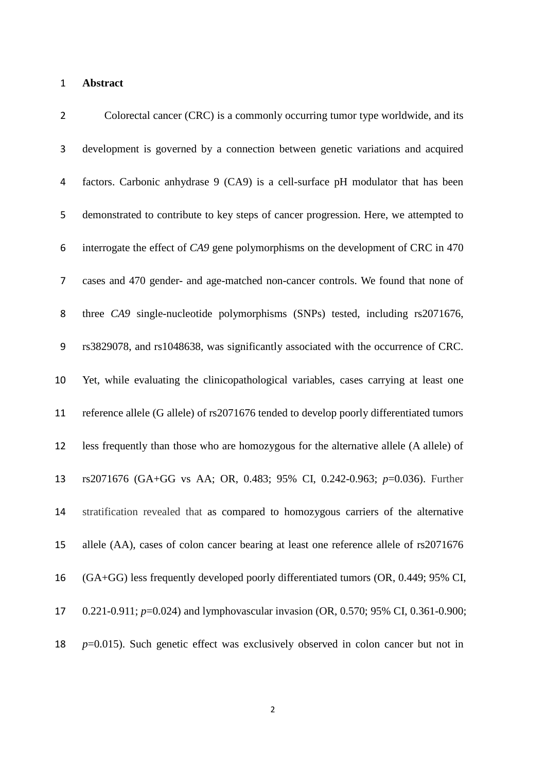## **Abstract**

| $\overline{2}$ | Colorectal cancer (CRC) is a commonly occurring tumor type worldwide, and its           |
|----------------|-----------------------------------------------------------------------------------------|
| 3              | development is governed by a connection between genetic variations and acquired         |
| 4              | factors. Carbonic anhydrase 9 (CA9) is a cell-surface pH modulator that has been        |
| 5              | demonstrated to contribute to key steps of cancer progression. Here, we attempted to    |
| 6              | interrogate the effect of CA9 gene polymorphisms on the development of CRC in 470       |
| 7              | cases and 470 gender- and age-matched non-cancer controls. We found that none of        |
| 8              | three CA9 single-nucleotide polymorphisms (SNPs) tested, including rs2071676,           |
| 9              | rs3829078, and rs1048638, was significantly associated with the occurrence of CRC.      |
| 10             | Yet, while evaluating the clinicopathological variables, cases carrying at least one    |
| 11             | reference allele (G allele) of rs2071676 tended to develop poorly differentiated tumors |
| 12             | less frequently than those who are homozygous for the alternative allele (A allele) of  |
| 13             | rs2071676 (GA+GG vs AA; OR, 0.483; 95% CI, 0.242-0.963; p=0.036). Further               |
| 14             | stratification revealed that as compared to homozygous carriers of the alternative      |
| 15             | allele (AA), cases of colon cancer bearing at least one reference allele of rs2071676   |
| 16             | (GA+GG) less frequently developed poorly differentiated tumors (OR, 0.449; 95% CI,      |
| 17             | 0.221-0.911; $p=0.024$ ) and lymphovascular invasion (OR, 0.570; 95% CI, 0.361-0.900;   |
| 18             | $p=0.015$ ). Such genetic effect was exclusively observed in colon cancer but not in    |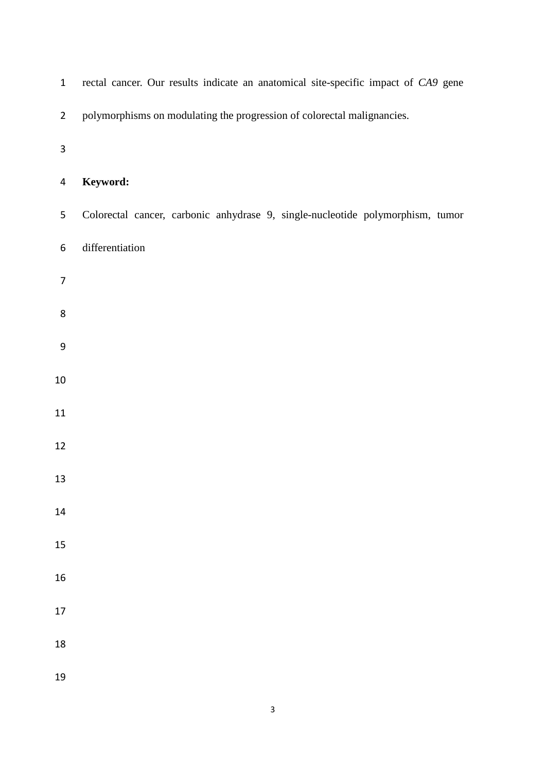| $\mathbf{1}$   | rectal cancer. Our results indicate an anatomical site-specific impact of CA9 gene |
|----------------|------------------------------------------------------------------------------------|
| $\overline{2}$ | polymorphisms on modulating the progression of colorectal malignancies.            |
| 3              |                                                                                    |
| 4              | Keyword:                                                                           |
| 5              | Colorectal cancer, carbonic anhydrase 9, single-nucleotide polymorphism, tumor     |
| 6              | differentiation                                                                    |
| 7              |                                                                                    |
| 8              |                                                                                    |
| 9              |                                                                                    |
| 10             |                                                                                    |
| 11             |                                                                                    |
| 12             |                                                                                    |
| 13             |                                                                                    |
| 14             |                                                                                    |
| 15             |                                                                                    |
| 16             |                                                                                    |
| 17             |                                                                                    |
| 18             |                                                                                    |
| 19             |                                                                                    |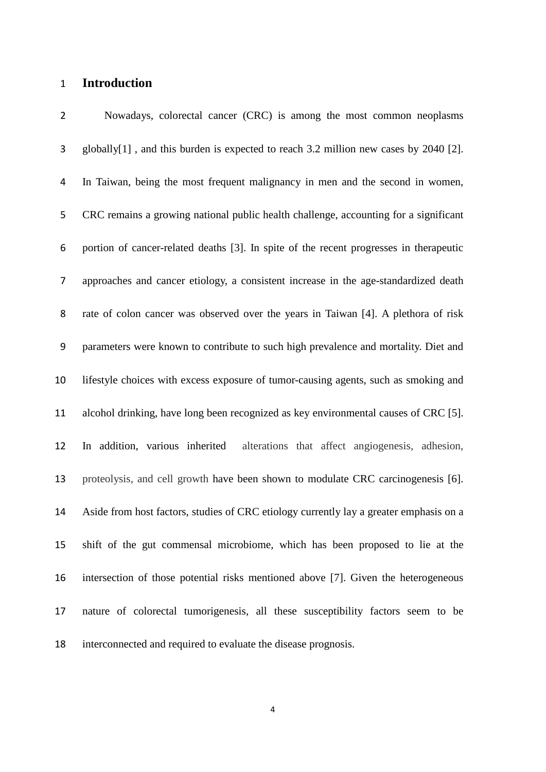## **Introduction**

 Nowadays, colorectal cancer (CRC) is among the most common neoplasms globally[\[1\]](#page-15-0) , and this burden is expected to reach 3.2 million new cases by 2040 [\[2\]](#page-15-1). In Taiwan, being the most frequent malignancy in men and the second in women, CRC remains a growing national public health challenge, accounting for a significant portion of cancer-related deaths [\[3\]](#page-15-2). In spite of the recent progresses in therapeutic approaches and cancer etiology, a consistent increase in the age-standardized death rate of colon cancer was observed over the years in Taiwan [\[4\]](#page-15-3). A plethora of risk parameters were known to contribute to such high prevalence and mortality. Diet and lifestyle choices with excess exposure of tumor-causing agents, such as smoking and alcohol drinking, have long been recognized as key environmental causes of CRC [\[5\]](#page-15-4). In addition, various inherited alterations that affect angiogenesis, adhesion, proteolysis, and cell growth have been shown to modulate CRC carcinogenesis [\[6\]](#page-15-5). Aside from host factors, studies of CRC etiology currently lay a greater emphasis on a shift of the gut commensal microbiome, which has been proposed to lie at the intersection of those potential risks mentioned above [\[7\]](#page-15-6). Given the heterogeneous nature of colorectal tumorigenesis, all these susceptibility factors seem to be interconnected and required to evaluate the disease prognosis.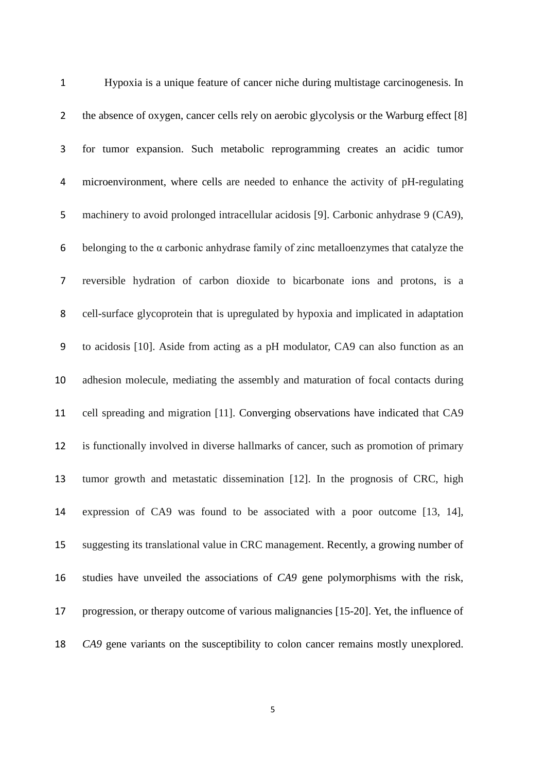| $\mathbf{1}$   | Hypoxia is a unique feature of cancer niche during multistage carcinogenesis. In             |
|----------------|----------------------------------------------------------------------------------------------|
| $\overline{2}$ | the absence of oxygen, cancer cells rely on aerobic glycolysis or the Warburg effect [8]     |
| 3              | for tumor expansion. Such metabolic reprogramming creates an acidic tumor                    |
| 4              | microenvironment, where cells are needed to enhance the activity of pH-regulating            |
| 5              | machinery to avoid prolonged intracellular acidosis [9]. Carbonic anhydrase 9 (CA9),         |
| 6              | belonging to the $\alpha$ carbonic anhydrase family of zinc metalloenzymes that catalyze the |
| 7              | reversible hydration of carbon dioxide to bicarbonate ions and protons, is a                 |
| 8              | cell-surface glycoprotein that is upregulated by hypoxia and implicated in adaptation        |
| 9              | to acidosis [10]. Aside from acting as a pH modulator, CA9 can also function as an           |
| 10             | adhesion molecule, mediating the assembly and maturation of focal contacts during            |
| 11             | cell spreading and migration [11]. Converging observations have indicated that CA9           |
| 12             | is functionally involved in diverse hallmarks of cancer, such as promotion of primary        |
| 13             | tumor growth and metastatic dissemination [12]. In the prognosis of CRC, high                |
| 14             | expression of CA9 was found to be associated with a poor outcome [13, 14],                   |
| 15             | suggesting its translational value in CRC management. Recently, a growing number of          |
| 16             | studies have unveiled the associations of CA9 gene polymorphisms with the risk,              |
| 17             | progression, or therapy outcome of various malignancies [15-20]. Yet, the influence of       |
| 18             | CA9 gene variants on the susceptibility to colon cancer remains mostly unexplored.           |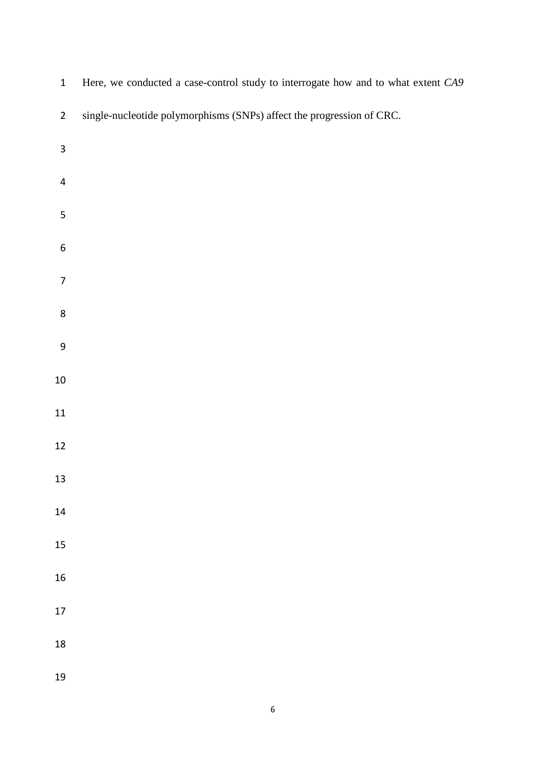| $\mathbf{1}$            | Here, we conducted a case-control study to interrogate how and to what extent CA9 |
|-------------------------|-----------------------------------------------------------------------------------|
| $\overline{2}$          | single-nucleotide polymorphisms (SNPs) affect the progression of CRC.             |
| $\overline{\mathbf{3}}$ |                                                                                   |
| $\pmb{4}$               |                                                                                   |
| 5                       |                                                                                   |
| $\boldsymbol{6}$        |                                                                                   |
| $\overline{7}$          |                                                                                   |
| $\bf 8$                 |                                                                                   |
| $\boldsymbol{9}$        |                                                                                   |
| $10\,$                  |                                                                                   |
| $11\,$                  |                                                                                   |
| $12\,$                  |                                                                                   |
| $13\,$                  |                                                                                   |
| 14                      |                                                                                   |
| 15                      |                                                                                   |
| 16                      |                                                                                   |
| $17\,$                  |                                                                                   |
| 18                      |                                                                                   |
| 19                      |                                                                                   |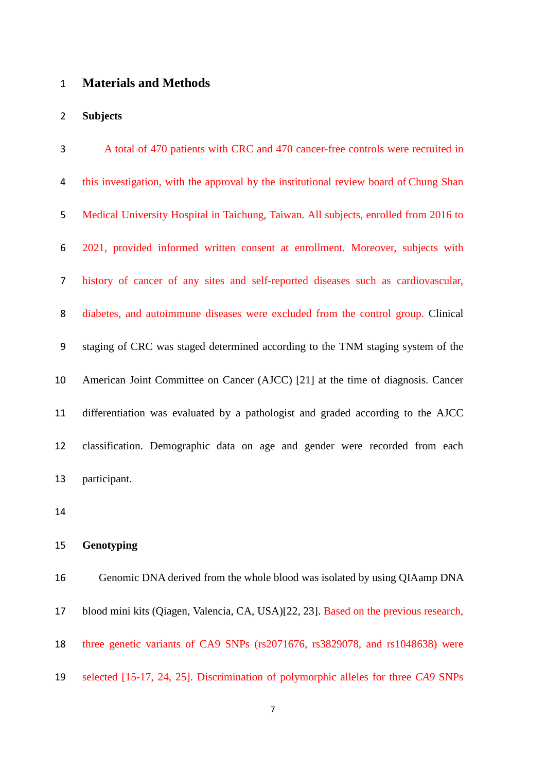# **Materials and Methods**

#### **Subjects**

| 3              | A total of 470 patients with CRC and 470 cancer-free controls were recruited in       |
|----------------|---------------------------------------------------------------------------------------|
| 4              | this investigation, with the approval by the institutional review board of Chung Shan |
| 5              | Medical University Hospital in Taichung, Taiwan. All subjects, enrolled from 2016 to  |
| 6              | 2021, provided informed written consent at enrollment. Moreover, subjects with        |
| $\overline{7}$ | history of cancer of any sites and self-reported diseases such as cardiovascular,     |
| 8              | diabetes, and autoimmune diseases were excluded from the control group. Clinical      |
| 9              | staging of CRC was staged determined according to the TNM staging system of the       |
| 10             | American Joint Committee on Cancer (AJCC) [21] at the time of diagnosis. Cancer       |
| 11             | differentiation was evaluated by a pathologist and graded according to the AJCC       |
| 12             | classification. Demographic data on age and gender were recorded from each            |
| 13             | participant.                                                                          |

### **Genotyping**

 Genomic DNA derived from the whole blood was isolated by using QIAamp DNA blood mini kits (Qiagen, Valencia, CA, USA)[\[22,](#page-17-1) [23\]](#page-17-2). Based on the previous research, three genetic variants of CA9 SNPs (rs2071676, rs3829078, and rs1048638) were selected [\[15-17,](#page-16-4) [24,](#page-17-3) [25\]](#page-17-4). Discrimination of polymorphic alleles for three *CA9* SNPs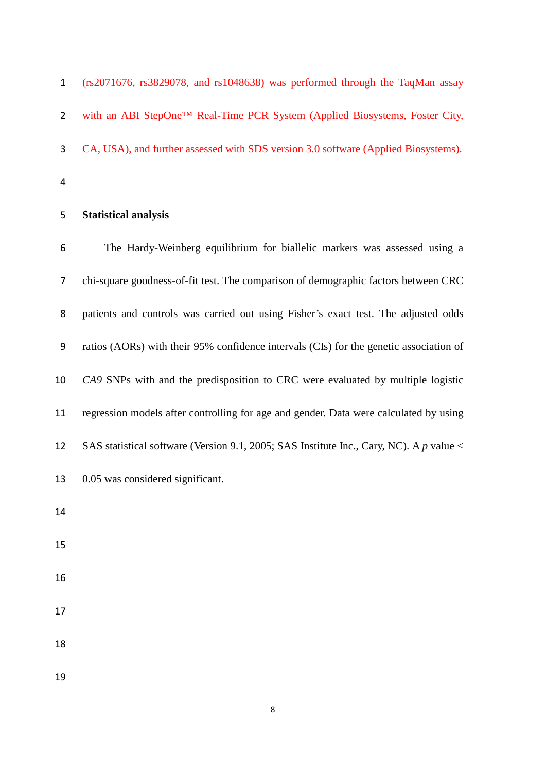| 5            | <b>Statistical analysis</b>                                                        |
|--------------|------------------------------------------------------------------------------------|
| 4            |                                                                                    |
| 3            | CA, USA), and further assessed with SDS version 3.0 software (Applied Biosystems). |
| $2^{\circ}$  | with an ABI StepOne™ Real-Time PCR System (Applied Biosystems, Foster City,        |
| $\mathbf{1}$ | $(rs2071676, rs3829078, and rs1048638)$ was performed through the TaqMan assay     |

 The Hardy-Weinberg equilibrium for biallelic markers was assessed using a chi-square goodness-of-fit test. The comparison of demographic factors between CRC patients and controls was carried out using Fisher's exact test. The adjusted odds ratios (AORs) with their 95% confidence intervals (CIs) for the genetic association of *CA9* SNPs with and the predisposition to CRC were evaluated by multiple logistic regression models after controlling for age and gender. Data were calculated by using SAS statistical software (Version 9.1, 2005; SAS Institute Inc., Cary, NC). A *p* value < 0.05 was considered significant. 

- 
- 
- 
- 
- 
- 
-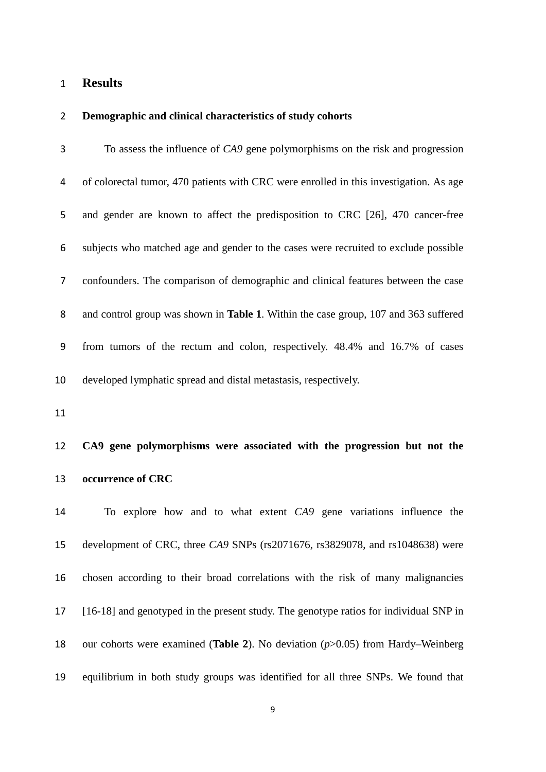# **Results**

# **Demographic and clinical characteristics of study cohorts**

| 3  | To assess the influence of CA9 gene polymorphisms on the risk and progression          |
|----|----------------------------------------------------------------------------------------|
| 4  | of colorectal tumor, 470 patients with CRC were enrolled in this investigation. As age |
| 5  | and gender are known to affect the predisposition to CRC [26], 470 cancer-free         |
| 6  | subjects who matched age and gender to the cases were recruited to exclude possible    |
| 7  | confounders. The comparison of demographic and clinical features between the case      |
| 8  | and control group was shown in Table 1. Within the case group, 107 and 363 suffered    |
| 9  | from tumors of the rectum and colon, respectively. 48.4% and 16.7% of cases            |
| 10 | developed lymphatic spread and distal metastasis, respectively.                        |
| 11 |                                                                                        |
|    |                                                                                        |
| 12 | CA9 gene polymorphisms were associated with the progression but not the                |
| 13 | occurrence of CRC                                                                      |
| 14 | To explore how and to what extent CA9 gene variations influence the                    |
| 15 | development of CRC, three CA9 SNPs (rs2071676, rs3829078, and rs1048638) were          |
| 16 | chosen according to their broad correlations with the risk of many malignancies        |
| 17 | [16-18] and genotyped in the present study. The genotype ratios for individual SNP in  |
| 18 | our cohorts were examined (Table 2). No deviation $(p>0.05)$ from Hardy–Weinberg       |

equilibrium in both study groups was identified for all three SNPs. We found that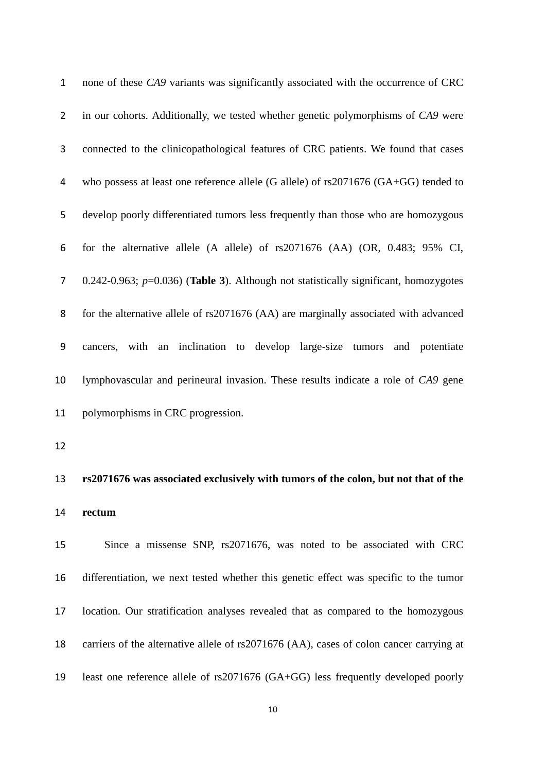| $\mathbf{1}$     | none of these CA9 variants was significantly associated with the occurrence of CRC           |
|------------------|----------------------------------------------------------------------------------------------|
| $\overline{2}$   | in our cohorts. Additionally, we tested whether genetic polymorphisms of CA9 were            |
| $\mathbf{3}$     | connected to the clinicopathological features of CRC patients. We found that cases           |
| 4                | who possess at least one reference allele (G allele) of rs2071676 (GA+GG) tended to          |
| 5                | develop poorly differentiated tumors less frequently than those who are homozygous           |
| 6                | for the alternative allele (A allele) of rs2071676 (AA) (OR, 0.483; 95% CI,                  |
| $\overline{7}$   | $0.242 - 0.963$ ; $p=0.036$ ) (Table 3). Although not statistically significant, homozygotes |
| 8                | for the alternative allele of rs2071676 (AA) are marginally associated with advanced         |
| $\boldsymbol{9}$ | cancers, with an inclination to develop large-size tumors<br>and potentiate                  |
| 10               | lymphovascular and perineural invasion. These results indicate a role of CA9 gene            |
| 11               | polymorphisms in CRC progression.                                                            |
| 12               |                                                                                              |
| 13               | rs2071676 was associated exclusively with tumors of the colon, but not that of the           |
| 14               | rectum                                                                                       |
| 15               | Since a missense SNP, rs2071676, was noted to be associated with CRC                         |
| 16               | differentiation, we next tested whether this genetic effect was specific to the tumor        |
| 17               | location. Our stratification analyses revealed that as compared to the homozygous            |
| 18               | carriers of the alternative allele of rs2071676 (AA), cases of colon cancer carrying at      |
| 19               | least one reference allele of rs2071676 (GA+GG) less frequently developed poorly             |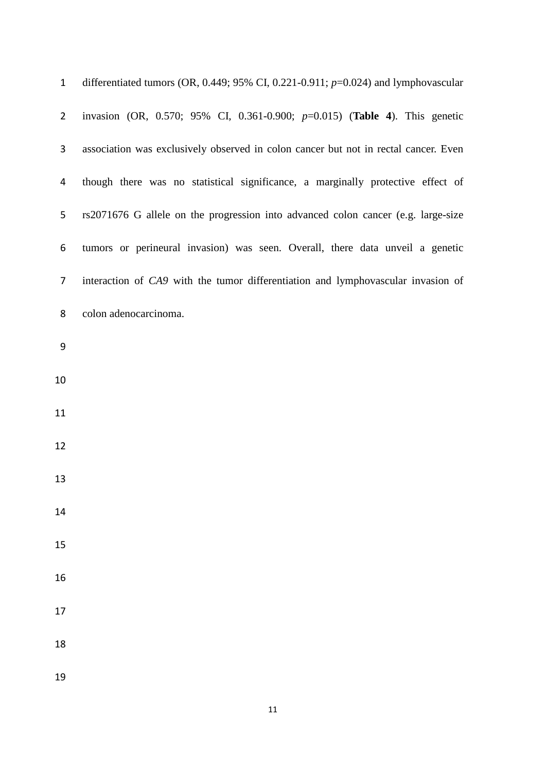| $\mathbf{1}$     | differentiated tumors (OR, 0.449; 95% CI, 0.221-0.911; $p=0.024$ ) and lymphovascular |
|------------------|---------------------------------------------------------------------------------------|
| $\overline{2}$   | invasion (OR, 0.570; 95% CI, 0.361-0.900; p=0.015) (Table 4). This genetic            |
| 3                | association was exclusively observed in colon cancer but not in rectal cancer. Even   |
| 4                | though there was no statistical significance, a marginally protective effect of       |
| 5                | rs2071676 G allele on the progression into advanced colon cancer (e.g. large-size     |
| 6                | tumors or perineural invasion) was seen. Overall, there data unveil a genetic         |
| 7                | interaction of CA9 with the tumor differentiation and lymphovascular invasion of      |
| 8                | colon adenocarcinoma.                                                                 |
| $\boldsymbol{9}$ |                                                                                       |
| 10               |                                                                                       |
| 11               |                                                                                       |
| 12               |                                                                                       |
| 13               |                                                                                       |
| 14               |                                                                                       |
| 15               |                                                                                       |
| 16               |                                                                                       |
| 17               |                                                                                       |
| 18               |                                                                                       |
| 19               |                                                                                       |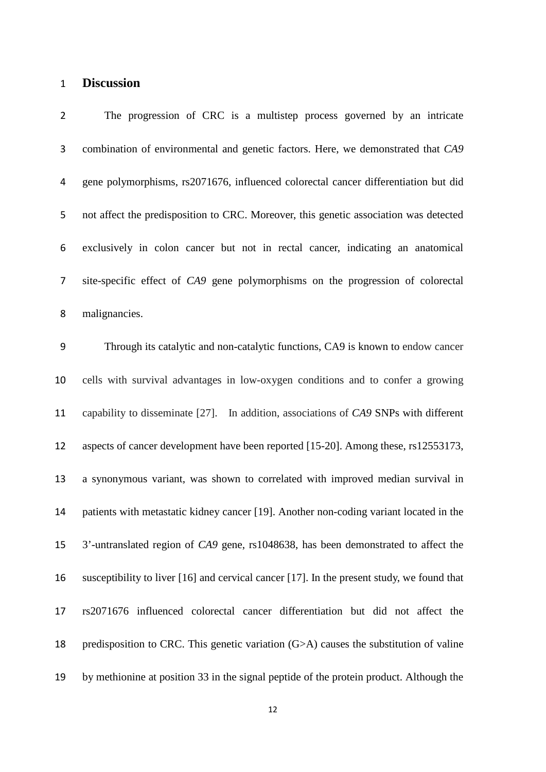# **Discussion**

| $\overline{2}$ | The progression of CRC is a multistep process governed by an intricate                     |
|----------------|--------------------------------------------------------------------------------------------|
| $\mathbf{3}$   | combination of environmental and genetic factors. Here, we demonstrated that CA9           |
| 4              | gene polymorphisms, rs2071676, influenced colorectal cancer differentiation but did        |
| 5              | not affect the predisposition to CRC. Moreover, this genetic association was detected      |
| 6              | exclusively in colon cancer but not in rectal cancer, indicating an anatomical             |
| $\overline{7}$ | site-specific effect of CA9 gene polymorphisms on the progression of colorectal            |
| 8              | malignancies.                                                                              |
| 9              | Through its catalytic and non-catalytic functions, CA9 is known to endow cancer            |
| 10             | cells with survival advantages in low-oxygen conditions and to confer a growing            |
| 11             | capability to disseminate [27]. In addition, associations of CA9 SNPs with different       |
| 12             | aspects of cancer development have been reported [15-20]. Among these, rs12553173,         |
| 13             | a synonymous variant, was shown to correlated with improved median survival in             |
| 14             | patients with metastatic kidney cancer [19]. Another non-coding variant located in the     |
| 15             | 3'-untranslated region of CA9 gene, rs1048638, has been demonstrated to affect the         |
| 16             | susceptibility to liver [16] and cervical cancer [17]. In the present study, we found that |
| 17             | rs2071676 influenced colorectal cancer differentiation but did not affect the              |
| 18             | predisposition to CRC. This genetic variation $(G>A)$ causes the substitution of valine    |
| 19             | by methionine at position 33 in the signal peptide of the protein product. Although the    |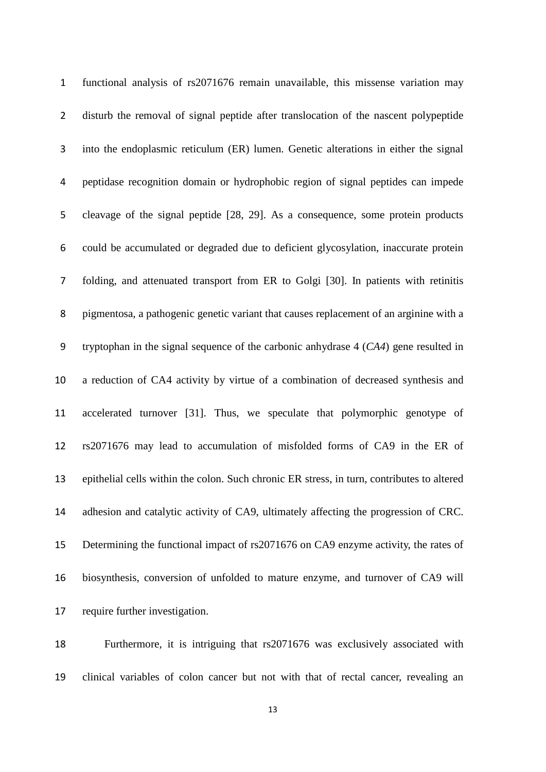| $\mathbf{1}$   | functional analysis of rs2071676 remain unavailable, this missense variation may           |
|----------------|--------------------------------------------------------------------------------------------|
| $\overline{2}$ | disturb the removal of signal peptide after translocation of the nascent polypeptide       |
| 3              | into the endoplasmic reticulum (ER) lumen. Genetic alterations in either the signal        |
| 4              | peptidase recognition domain or hydrophobic region of signal peptides can impede           |
| 5              | cleavage of the signal peptide [28, 29]. As a consequence, some protein products           |
| 6              | could be accumulated or degraded due to deficient glycosylation, inaccurate protein        |
| $\overline{7}$ | folding, and attenuated transport from ER to Golgi [30]. In patients with retinitis        |
| 8              | pigmentosa, a pathogenic genetic variant that causes replacement of an arginine with a     |
| 9              | tryptophan in the signal sequence of the carbonic anhydrase $4$ ( $CA4$ ) gene resulted in |
| 10             | a reduction of CA4 activity by virtue of a combination of decreased synthesis and          |
| 11             | accelerated turnover [31]. Thus, we speculate that polymorphic genotype of                 |
| 12             | rs2071676 may lead to accumulation of misfolded forms of CA9 in the ER of                  |
| 13             | epithelial cells within the colon. Such chronic ER stress, in turn, contributes to altered |
| 14             | adhesion and catalytic activity of CA9, ultimately affecting the progression of CRC.       |
| 15             | Determining the functional impact of rs2071676 on CA9 enzyme activity, the rates of        |
| 16             | biosynthesis, conversion of unfolded to mature enzyme, and turnover of CA9 will            |
| 17             | require further investigation.                                                             |

 Furthermore, it is intriguing that rs2071676 was exclusively associated with clinical variables of colon cancer but not with that of rectal cancer, revealing an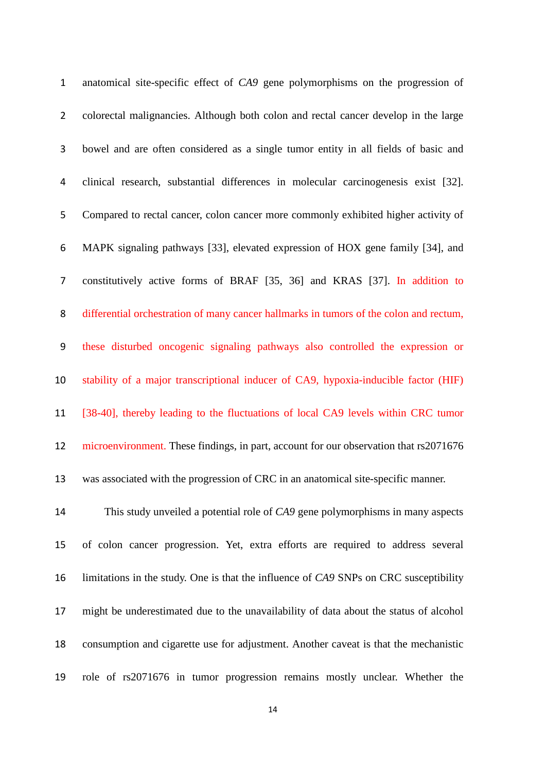| $\mathbf{1}$   | anatomical site-specific effect of CA9 gene polymorphisms on the progression of        |
|----------------|----------------------------------------------------------------------------------------|
| $2^{\circ}$    | colorectal malignancies. Although both colon and rectal cancer develop in the large    |
| 3              | bowel and are often considered as a single tumor entity in all fields of basic and     |
| 4              | clinical research, substantial differences in molecular carcinogenesis exist [32].     |
| 5              | Compared to rectal cancer, colon cancer more commonly exhibited higher activity of     |
| 6              | MAPK signaling pathways [33], elevated expression of HOX gene family [34], and         |
| $\overline{7}$ | constitutively active forms of BRAF [35, 36] and KRAS [37]. In addition to             |
| 8              | differential orchestration of many cancer hallmarks in tumors of the colon and rectum, |
| 9              | these disturbed oncogenic signaling pathways also controlled the expression or         |
| 10             | stability of a major transcriptional inducer of CA9, hypoxia-inducible factor (HIF)    |
| 11             | [38-40], thereby leading to the fluctuations of local CA9 levels within CRC tumor      |
| 12             | microenvironment. These findings, in part, account for our observation that rs2071676  |
| 13             | was associated with the progression of CRC in an anatomical site-specific manner.      |
| 14             | This study unveiled a potential role of CA9 gene polymorphisms in many aspects         |
| 15             | of colon cancer progression. Yet, extra efforts are required to address several        |
| 16             | limitations in the study. One is that the influence of CA9 SNPs on CRC susceptibility  |
| 17             | might be underestimated due to the unavailability of data about the status of alcohol  |
| 18             | consumption and cigarette use for adjustment. Another caveat is that the mechanistic   |
| 19             | role of rs2071676 in tumor progression remains mostly unclear. Whether the             |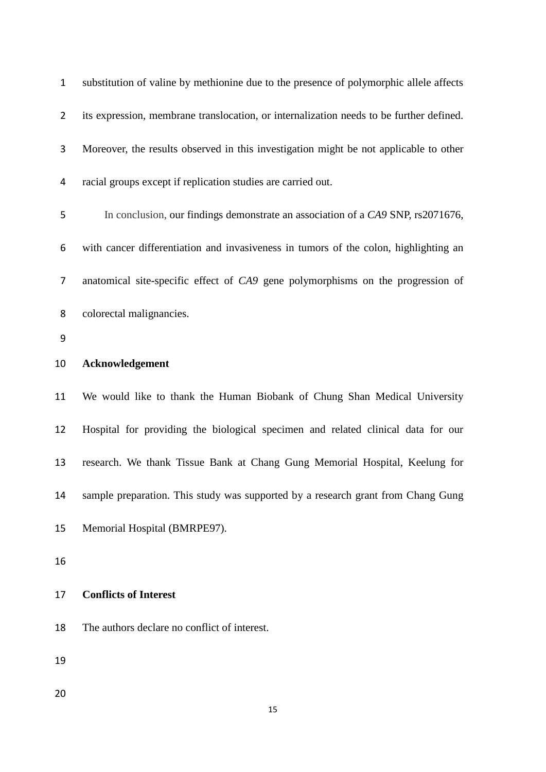| $\mathbf{1}$   | substitution of valine by methionine due to the presence of polymorphic allele affects  |
|----------------|-----------------------------------------------------------------------------------------|
| $\overline{2}$ | its expression, membrane translocation, or internalization needs to be further defined. |
| 3              | Moreover, the results observed in this investigation might be not applicable to other   |
| 4              | racial groups except if replication studies are carried out.                            |
| 5              | In conclusion, our findings demonstrate an association of a CA9 SNP, rs2071676,         |
| 6              | with cancer differentiation and invasiveness in tumors of the colon, highlighting an    |
| 7              | anatomical site-specific effect of CA9 gene polymorphisms on the progression of         |
| 8              | colorectal malignancies.                                                                |
| 9              |                                                                                         |
| 10             | Acknowledgement                                                                         |
| 11             | We would like to thank the Human Biobank of Chung Shan Medical University               |
| 12             | Hospital for providing the biological specimen and related clinical data for our        |
| 13             | research. We thank Tissue Bank at Chang Gung Memorial Hospital, Keelung for             |
| 14             | sample preparation. This study was supported by a research grant from Chang Gung        |
| 15             | Memorial Hospital (BMRPE97).                                                            |
| 16             |                                                                                         |
| 17             | <b>Conflicts of Interest</b>                                                            |
| 18             | The authors declare no conflict of interest.                                            |
| 19             |                                                                                         |
| 20             |                                                                                         |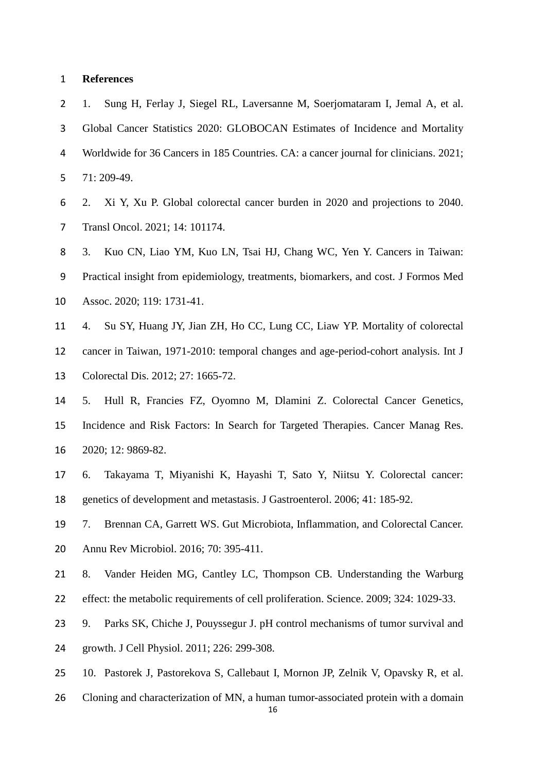#### **References**

<span id="page-15-0"></span> 1. Sung H, Ferlay J, Siegel RL, Laversanne M, Soerjomataram I, Jemal A, et al. Global Cancer Statistics 2020: GLOBOCAN Estimates of Incidence and Mortality Worldwide for 36 Cancers in 185 Countries. CA: a cancer journal for clinicians. 2021; 71: 209-49.

<span id="page-15-1"></span> 2. Xi Y, Xu P. Global colorectal cancer burden in 2020 and projections to 2040. Transl Oncol. 2021; 14: 101174.

<span id="page-15-2"></span> 3. Kuo CN, Liao YM, Kuo LN, Tsai HJ, Chang WC, Yen Y. Cancers in Taiwan: Practical insight from epidemiology, treatments, biomarkers, and cost. J Formos Med Assoc. 2020; 119: 1731-41.

<span id="page-15-3"></span> 4. Su SY, Huang JY, Jian ZH, Ho CC, Lung CC, Liaw YP. Mortality of colorectal cancer in Taiwan, 1971-2010: temporal changes and age-period-cohort analysis. Int J Colorectal Dis. 2012; 27: 1665-72.

<span id="page-15-4"></span> 5. Hull R, Francies FZ, Oyomno M, Dlamini Z. Colorectal Cancer Genetics, Incidence and Risk Factors: In Search for Targeted Therapies. Cancer Manag Res. 2020; 12: 9869-82.

<span id="page-15-5"></span> 6. Takayama T, Miyanishi K, Hayashi T, Sato Y, Niitsu Y. Colorectal cancer: genetics of development and metastasis. J Gastroenterol. 2006; 41: 185-92.

<span id="page-15-6"></span>7. Brennan CA, Garrett WS. Gut Microbiota, Inflammation, and Colorectal Cancer.

- Annu Rev Microbiol. 2016; 70: 395-411.
- <span id="page-15-7"></span>8. Vander Heiden MG, Cantley LC, Thompson CB. Understanding the Warburg
- effect: the metabolic requirements of cell proliferation. Science. 2009; 324: 1029-33.
- <span id="page-15-8"></span> 9. Parks SK, Chiche J, Pouyssegur J. pH control mechanisms of tumor survival and growth. J Cell Physiol. 2011; 226: 299-308.
- <span id="page-15-9"></span>10. Pastorek J, Pastorekova S, Callebaut I, Mornon JP, Zelnik V, Opavsky R, et al.
- Cloning and characterization of MN, a human tumor-associated protein with a domain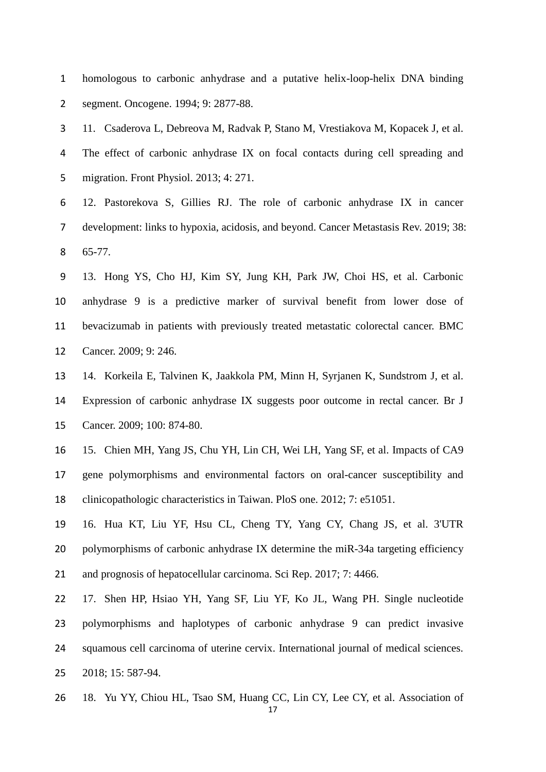homologous to carbonic anhydrase and a putative helix-loop-helix DNA binding segment. Oncogene. 1994; 9: 2877-88.

<span id="page-16-0"></span> 11. Csaderova L, Debreova M, Radvak P, Stano M, Vrestiakova M, Kopacek J, et al. The effect of carbonic anhydrase IX on focal contacts during cell spreading and migration. Front Physiol. 2013; 4: 271.

<span id="page-16-1"></span> 12. Pastorekova S, Gillies RJ. The role of carbonic anhydrase IX in cancer development: links to hypoxia, acidosis, and beyond. Cancer Metastasis Rev. 2019; 38: 65-77.

<span id="page-16-2"></span> 13. Hong YS, Cho HJ, Kim SY, Jung KH, Park JW, Choi HS, et al. Carbonic anhydrase 9 is a predictive marker of survival benefit from lower dose of bevacizumab in patients with previously treated metastatic colorectal cancer. BMC Cancer. 2009; 9: 246.

<span id="page-16-3"></span> 14. Korkeila E, Talvinen K, Jaakkola PM, Minn H, Syrjanen K, Sundstrom J, et al. Expression of carbonic anhydrase IX suggests poor outcome in rectal cancer. Br J Cancer. 2009; 100: 874-80.

<span id="page-16-4"></span> 15. Chien MH, Yang JS, Chu YH, Lin CH, Wei LH, Yang SF, et al. Impacts of CA9 gene polymorphisms and environmental factors on oral-cancer susceptibility and clinicopathologic characteristics in Taiwan. PloS one. 2012; 7: e51051.

<span id="page-16-5"></span> 16. Hua KT, Liu YF, Hsu CL, Cheng TY, Yang CY, Chang JS, et al. 3'UTR 20 polymorphisms of carbonic anhydrase IX determine the miR-34a targeting efficiency 21 and prognosis of hepatocellular carcinoma. Sci Rep. 2017; 7: 4466.

<span id="page-16-6"></span> 17. Shen HP, Hsiao YH, Yang SF, Liu YF, Ko JL, Wang PH. Single nucleotide polymorphisms and haplotypes of carbonic anhydrase 9 can predict invasive squamous cell carcinoma of uterine cervix. International journal of medical sciences. 2018; 15: 587-94.

18. Yu YY, Chiou HL, Tsao SM, Huang CC, Lin CY, Lee CY, et al. Association of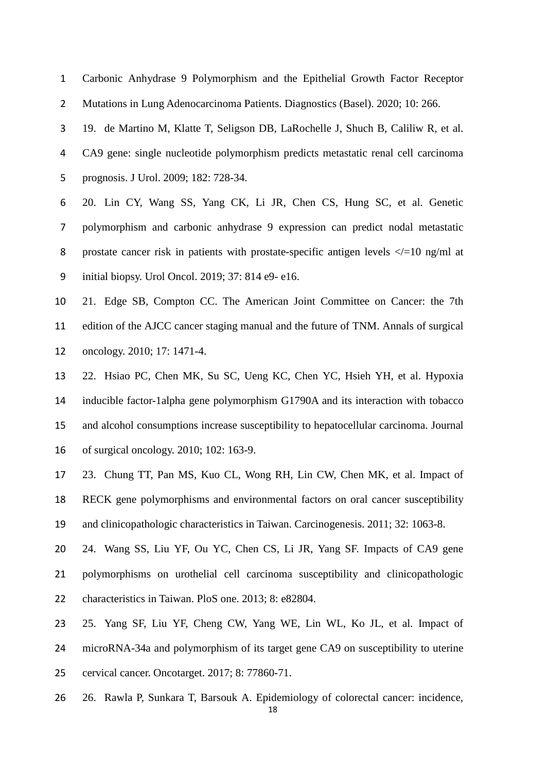Carbonic Anhydrase 9 Polymorphism and the Epithelial Growth Factor Receptor Mutations in Lung Adenocarcinoma Patients. Diagnostics (Basel). 2020; 10: 266.

<span id="page-17-6"></span> 19. de Martino M, Klatte T, Seligson DB, LaRochelle J, Shuch B, Caliliw R, et al. CA9 gene: single nucleotide polymorphism predicts metastatic renal cell carcinoma prognosis. J Urol. 2009; 182: 728-34.

 20. Lin CY, Wang SS, Yang CK, Li JR, Chen CS, Hung SC, et al. Genetic polymorphism and carbonic anhydrase 9 expression can predict nodal metastatic 8 prostate cancer risk in patients with prostate-specific antigen levels  $\langle \rangle = 10$  ng/ml at initial biopsy. Urol Oncol. 2019; 37: 814 e9- e16.

<span id="page-17-0"></span> 21. Edge SB, Compton CC. The American Joint Committee on Cancer: the 7th edition of the AJCC cancer staging manual and the future of TNM. Annals of surgical oncology. 2010; 17: 1471-4.

<span id="page-17-1"></span> 22. Hsiao PC, Chen MK, Su SC, Ueng KC, Chen YC, Hsieh YH, et al. Hypoxia inducible factor-1alpha gene polymorphism G1790A and its interaction with tobacco and alcohol consumptions increase susceptibility to hepatocellular carcinoma. Journal of surgical oncology. 2010; 102: 163-9.

<span id="page-17-2"></span> 23. Chung TT, Pan MS, Kuo CL, Wong RH, Lin CW, Chen MK, et al. Impact of RECK gene polymorphisms and environmental factors on oral cancer susceptibility and clinicopathologic characteristics in Taiwan. Carcinogenesis. 2011; 32: 1063-8.

<span id="page-17-3"></span> 24. Wang SS, Liu YF, Ou YC, Chen CS, Li JR, Yang SF. Impacts of CA9 gene polymorphisms on urothelial cell carcinoma susceptibility and clinicopathologic characteristics in Taiwan. PloS one. 2013; 8: e82804.

<span id="page-17-4"></span>25. Yang SF, Liu YF, Cheng CW, Yang WE, Lin WL, Ko JL, et al. Impact of

microRNA-34a and polymorphism of its target gene CA9 on susceptibility to uterine

cervical cancer. Oncotarget. 2017; 8: 77860-71.

<span id="page-17-5"></span>26. Rawla P, Sunkara T, Barsouk A. Epidemiology of colorectal cancer: incidence,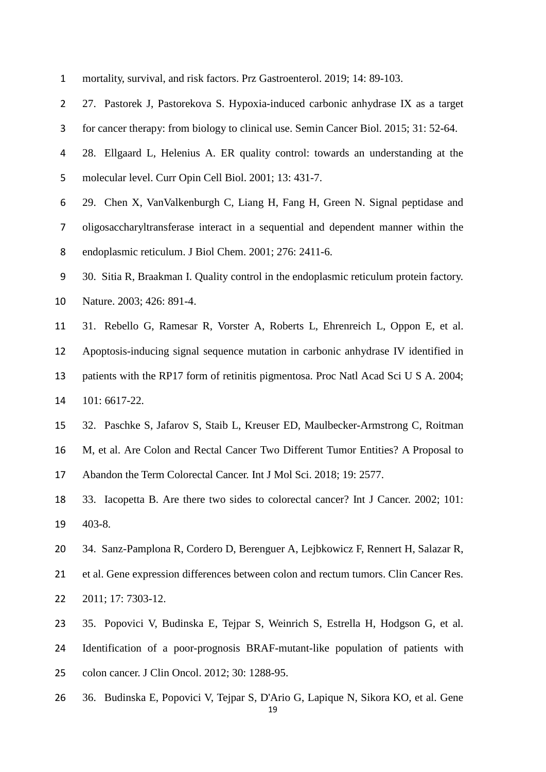<span id="page-18-9"></span><span id="page-18-8"></span><span id="page-18-7"></span><span id="page-18-6"></span><span id="page-18-5"></span><span id="page-18-4"></span><span id="page-18-3"></span><span id="page-18-2"></span><span id="page-18-1"></span><span id="page-18-0"></span>

| $\mathbf{1}$   | mortality, survival, and risk factors. Prz Gastroenterol. 2019; 14: 89-103.            |
|----------------|----------------------------------------------------------------------------------------|
| $\overline{2}$ | 27. Pastorek J, Pastorekova S. Hypoxia-induced carbonic anhydrase IX as a target       |
| 3              | for cancer therapy: from biology to clinical use. Semin Cancer Biol. 2015; 31: 52-64.  |
| 4              | 28. Ellgaard L, Helenius A. ER quality control: towards an understanding at the        |
| 5              | molecular level. Curr Opin Cell Biol. 2001; 13: 431-7.                                 |
| 6              | 29. Chen X, VanValkenburgh C, Liang H, Fang H, Green N. Signal peptidase and           |
| 7              | oligosaccharyltransferase interact in a sequential and dependent manner within the     |
| 8              | endoplasmic reticulum. J Biol Chem. 2001; 276: 2411-6.                                 |
| 9              | 30. Sitia R, Braakman I. Quality control in the endoplasmic reticulum protein factory. |
| 10             | Nature. 2003; 426: 891-4.                                                              |
| 11             | 31. Rebello G, Ramesar R, Vorster A, Roberts L, Ehrenreich L, Oppon E, et al.          |
| 12             | Apoptosis-inducing signal sequence mutation in carbonic anhydrase IV identified in     |
| 13             | patients with the RP17 form of retinitis pigmentosa. Proc Natl Acad Sci U S A. 2004;   |
| 14             | 101: 6617-22.                                                                          |
| 15             | 32. Paschke S, Jafarov S, Staib L, Kreuser ED, Maulbecker-Armstrong C, Roitman         |
| 16             | M, et al. Are Colon and Rectal Cancer Two Different Tumor Entities? A Proposal to      |
| 17             | Abandon the Term Colorectal Cancer. Int J Mol Sci. 2018; 19: 2577.                     |
| 18             | 33. Iacopetta B. Are there two sides to colorectal cancer? Int J Cancer. 2002; 101:    |
| 19             | 403-8.                                                                                 |
| 20             | 34. Sanz-Pamplona R, Cordero D, Berenguer A, Lejbkowicz F, Rennert H, Salazar R,       |
| 21             | et al. Gene expression differences between colon and rectum tumors. Clin Cancer Res.   |
| 22             | 2011; 17: 7303-12.                                                                     |
| 23             | 35. Popovici V, Budinska E, Tejpar S, Weinrich S, Estrella H, Hodgson G, et al.        |
| 24             | Identification of a poor-prognosis BRAF-mutant-like population of patients with        |
| 25             | colon cancer. J Clin Oncol. 2012; 30: 1288-95.                                         |
| 26             | 36. Budinska E, Popovici V, Tejpar S, D'Ario G, Lapique N, Sikora KO, et al. Gene      |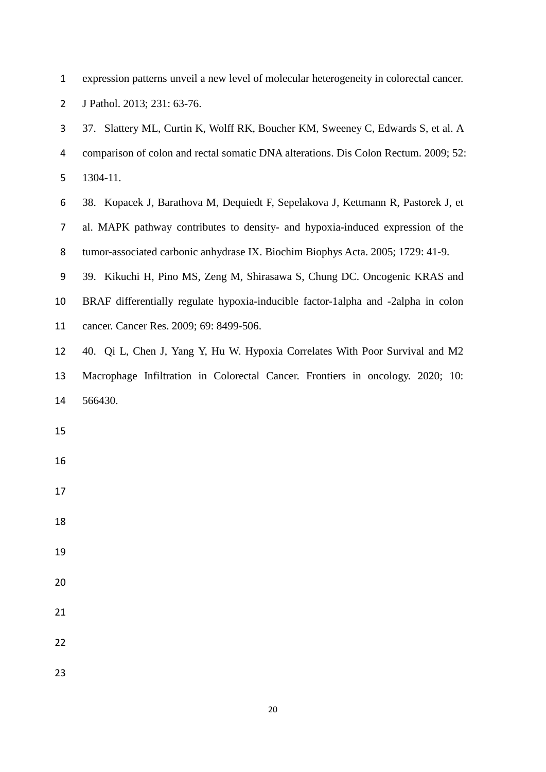<span id="page-19-1"></span><span id="page-19-0"></span>

| $\mathbf{1}$   | expression patterns unveil a new level of molecular heterogeneity in colorectal cancer. |
|----------------|-----------------------------------------------------------------------------------------|
| $\overline{2}$ | J Pathol. 2013; 231: 63-76.                                                             |
| 3              | 37. Slattery ML, Curtin K, Wolff RK, Boucher KM, Sweeney C, Edwards S, et al. A         |
| 4              | comparison of colon and rectal somatic DNA alterations. Dis Colon Rectum. 2009; 52:     |
| 5              | 1304-11.                                                                                |
| 6              | 38. Kopacek J, Barathova M, Dequiedt F, Sepelakova J, Kettmann R, Pastorek J, et        |
| 7              | al. MAPK pathway contributes to density- and hypoxia-induced expression of the          |
| 8              | tumor-associated carbonic anhydrase IX. Biochim Biophys Acta. 2005; 1729: 41-9.         |
| 9              | 39. Kikuchi H, Pino MS, Zeng M, Shirasawa S, Chung DC. Oncogenic KRAS and               |
| 10             | BRAF differentially regulate hypoxia-inducible factor-1alpha and -2alpha in colon       |
| 11             | cancer. Cancer Res. 2009; 69: 8499-506.                                                 |
| 12             | 40. Qi L, Chen J, Yang Y, Hu W. Hypoxia Correlates With Poor Survival and M2            |
| 13             | Macrophage Infiltration in Colorectal Cancer. Frontiers in oncology. 2020; 10:          |
| 14             | 566430.                                                                                 |
| 15             |                                                                                         |
| 16             |                                                                                         |
| 17             |                                                                                         |
| 18             |                                                                                         |
| 19             |                                                                                         |
| 20             |                                                                                         |
| 21             |                                                                                         |
| 22             |                                                                                         |
| 23             |                                                                                         |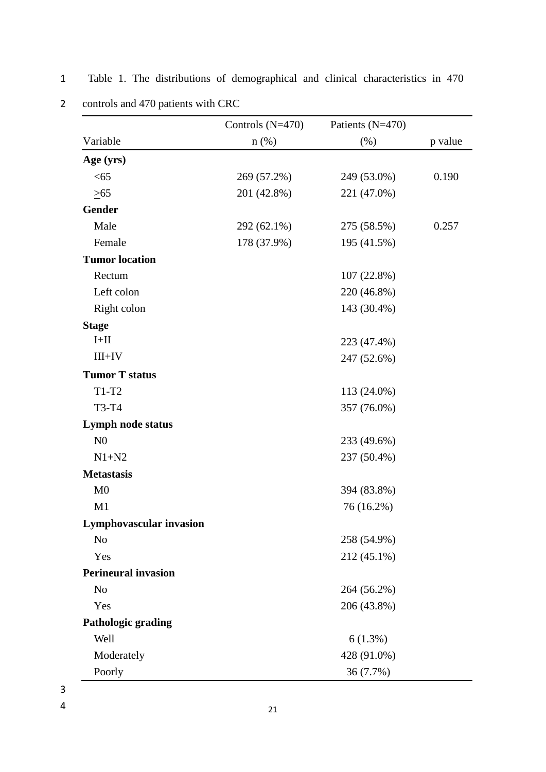|                            | Controls $(N=470)$ | Patients (N=470) |         |
|----------------------------|--------------------|------------------|---------|
| Variable                   | $n$ (%)            | (% )             | p value |
| Age (yrs)                  |                    |                  |         |
| < 65                       | 269 (57.2%)        | 249 (53.0%)      | 0.190   |
| $\geq 65$                  | 201 (42.8%)        | 221 (47.0%)      |         |
| <b>Gender</b>              |                    |                  |         |
| Male                       | 292 (62.1%)        | 275 (58.5%)      | 0.257   |
| Female                     | 178 (37.9%)        | 195 (41.5%)      |         |
| <b>Tumor location</b>      |                    |                  |         |
| Rectum                     |                    | 107 (22.8%)      |         |
| Left colon                 |                    | 220 (46.8%)      |         |
| Right colon                |                    | 143 (30.4%)      |         |
| <b>Stage</b>               |                    |                  |         |
| $I+II$                     |                    | 223 (47.4%)      |         |
| $III+IV$                   |                    | 247 (52.6%)      |         |
| <b>Tumor T status</b>      |                    |                  |         |
| $T1-T2$                    |                    | 113 (24.0%)      |         |
| T3-T4                      |                    | 357 (76.0%)      |         |
| <b>Lymph node status</b>   |                    |                  |         |
| N <sub>0</sub>             |                    | 233 (49.6%)      |         |
| $N1+N2$                    |                    | 237 (50.4%)      |         |
| <b>Metastasis</b>          |                    |                  |         |
| M <sub>0</sub>             |                    | 394 (83.8%)      |         |
| M1                         |                    | 76 (16.2%)       |         |
| Lymphovascular invasion    |                    |                  |         |
| N <sub>o</sub>             |                    | 258 (54.9%)      |         |
| Yes                        |                    | 212 (45.1%)      |         |
| <b>Perineural invasion</b> |                    |                  |         |
| N <sub>o</sub>             |                    | 264 (56.2%)      |         |
| Yes                        |                    | 206 (43.8%)      |         |
| <b>Pathologic grading</b>  |                    |                  |         |
| Well                       |                    | 6(1.3%)          |         |
| Moderately                 |                    | 428 (91.0%)      |         |
| Poorly                     |                    | 36 (7.7%)        |         |

1 Table 1. The distributions of demographical and clinical characteristics in 470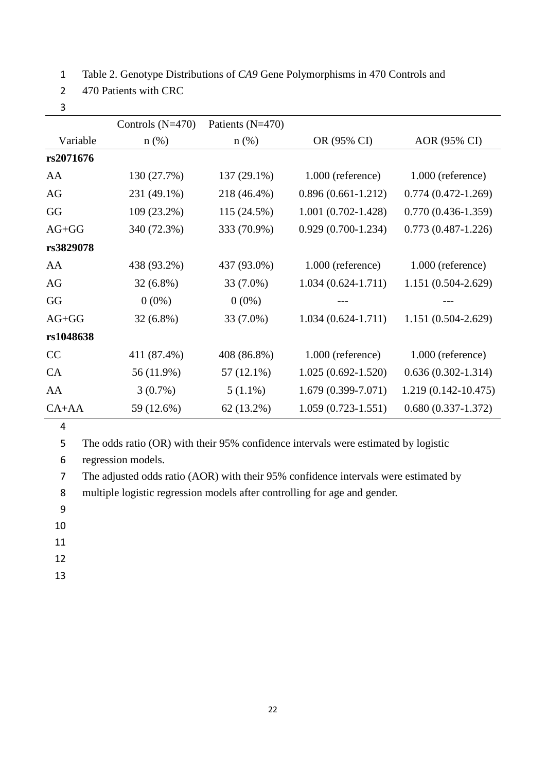1 Table 2. Genotype Distributions of *CA9* Gene Polymorphisms in 470 Controls and

- 2 470 Patients with CRC
- 3

|           | Controls $(N=470)$ | Patients $(N=470)$ |                        |                         |
|-----------|--------------------|--------------------|------------------------|-------------------------|
| Variable  | $n$ (%)            | $n$ (%)            | OR (95% CI)            | AOR (95% CI)            |
| rs2071676 |                    |                    |                        |                         |
| AA        | 130 (27.7%)        | 137 (29.1%)        | $1.000$ (reference)    | $1.000$ (reference)     |
| AG        | 231 (49.1%)        | 218 (46.4%)        | $0.896(0.661-1.212)$   | $0.774(0.472 - 1.269)$  |
| GG        | 109 (23.2%)        | 115 (24.5%)        | $1.001(0.702 - 1.428)$ | $0.770(0.436-1.359)$    |
| $AG+GG$   | 340 (72.3%)        | 333 (70.9%)        | $0.929(0.700-1.234)$   | $0.773(0.487-1.226)$    |
| rs3829078 |                    |                    |                        |                         |
| AA        | 438 (93.2%)        | 437 (93.0%)        | $1.000$ (reference)    | $1.000$ (reference)     |
| AG        | $32(6.8\%)$        | 33 (7.0%)          | $1.034(0.624-1.711)$   | 1.151 (0.504-2.629)     |
| GG        | $0(0\%)$           | $0(0\%)$           |                        |                         |
| $AG+GG$   | $32(6.8\%)$        | 33 (7.0%)          | $1.034(0.624 - 1.711)$ | $1.151(0.504 - 2.629)$  |
| rs1048638 |                    |                    |                        |                         |
| CC        | 411 (87.4%)        | 408 (86.8%)        | $1.000$ (reference)    | $1.000$ (reference)     |
| CA        | 56 (11.9%)         | $57(12.1\%)$       | $1.025(0.692 - 1.520)$ | $0.636(0.302 - 1.314)$  |
| AA        | $3(0.7\%)$         | $5(1.1\%)$         | $1.679(0.399 - 7.071)$ | $1.219(0.142 - 10.475)$ |
| $CA+AA$   | 59 (12.6%)         | 62 (13.2%)         | $1.059(0.723 - 1.551)$ | $0.680(0.337-1.372)$    |

5 The odds ratio (OR) with their 95% confidence intervals were estimated by logistic

6 regression models.

7 The adjusted odds ratio (AOR) with their 95% confidence intervals were estimated by

8 multiple logistic regression models after controlling for age and gender.

9

- 11
- 12
- 13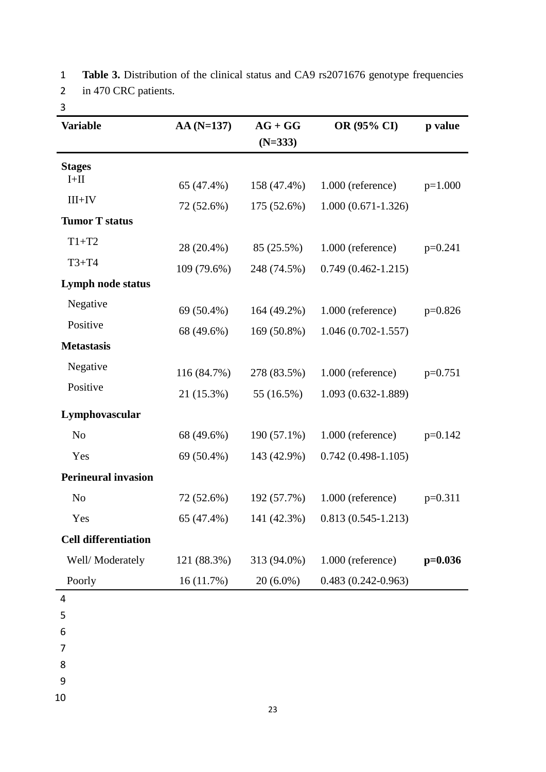1 **Table 3.** Distribution of the clinical status and CA9 rs2071676 genotype frequencies 2 in 470 CRC patients.

| <b>Variable</b>             | $AA(N=137)$ | $AG + GG$<br>$(N=333)$ | OR (95% CI)            | p value   |
|-----------------------------|-------------|------------------------|------------------------|-----------|
|                             |             |                        |                        |           |
| <b>Stages</b><br>$I+II$     |             |                        |                        |           |
|                             | 65 (47.4%)  | 158 (47.4%)            | 1.000 (reference)      | $p=1.000$ |
| $III+IV$                    | 72 (52.6%)  | 175 (52.6%)            | $1.000(0.671-1.326)$   |           |
| <b>Tumor T status</b>       |             |                        |                        |           |
| $T1+T2$                     | 28 (20.4%)  | 85 (25.5%)             | 1.000 (reference)      | $p=0.241$ |
| $T3+T4$                     | 109 (79.6%) | 248 (74.5%)            | $0.749(0.462 - 1.215)$ |           |
| Lymph node status           |             |                        |                        |           |
| Negative                    | 69 (50.4%)  | 164 (49.2%)            | 1.000 (reference)      | $p=0.826$ |
| Positive                    | 68 (49.6%)  | 169 (50.8%)            | $1.046(0.702 - 1.557)$ |           |
| <b>Metastasis</b>           |             |                        |                        |           |
| Negative                    | 116 (84.7%) | 278 (83.5%)            | 1.000 (reference)      | $p=0.751$ |
| Positive                    | 21 (15.3%)  | 55 (16.5%)             | 1.093 (0.632-1.889)    |           |
| Lymphovascular              |             |                        |                        |           |
| N <sub>0</sub>              | 68 (49.6%)  | $190(57.1\%)$          | 1.000 (reference)      | $p=0.142$ |
| Yes                         | 69 (50.4%)  | 143 (42.9%)            | $0.742(0.498-1.105)$   |           |
| <b>Perineural invasion</b>  |             |                        |                        |           |
| N <sub>o</sub>              | 72 (52.6%)  | 192 (57.7%)            | 1.000 (reference)      | $p=0.311$ |
| Yes                         | 65 (47.4%)  | 141 (42.3%)            | $0.813(0.545-1.213)$   |           |
| <b>Cell differentiation</b> |             |                        |                        |           |
| Well/Moderately             | 121 (88.3%) | 313 (94.0%)            | 1.000 (reference)      | $p=0.036$ |
| Poorly                      | 16(11.7%)   | $20(6.0\%)$            | $0.483(0.242 - 0.963)$ |           |
| 4                           |             |                        |                        |           |
| 5                           |             |                        |                        |           |
| 6                           |             |                        |                        |           |

7

8

9